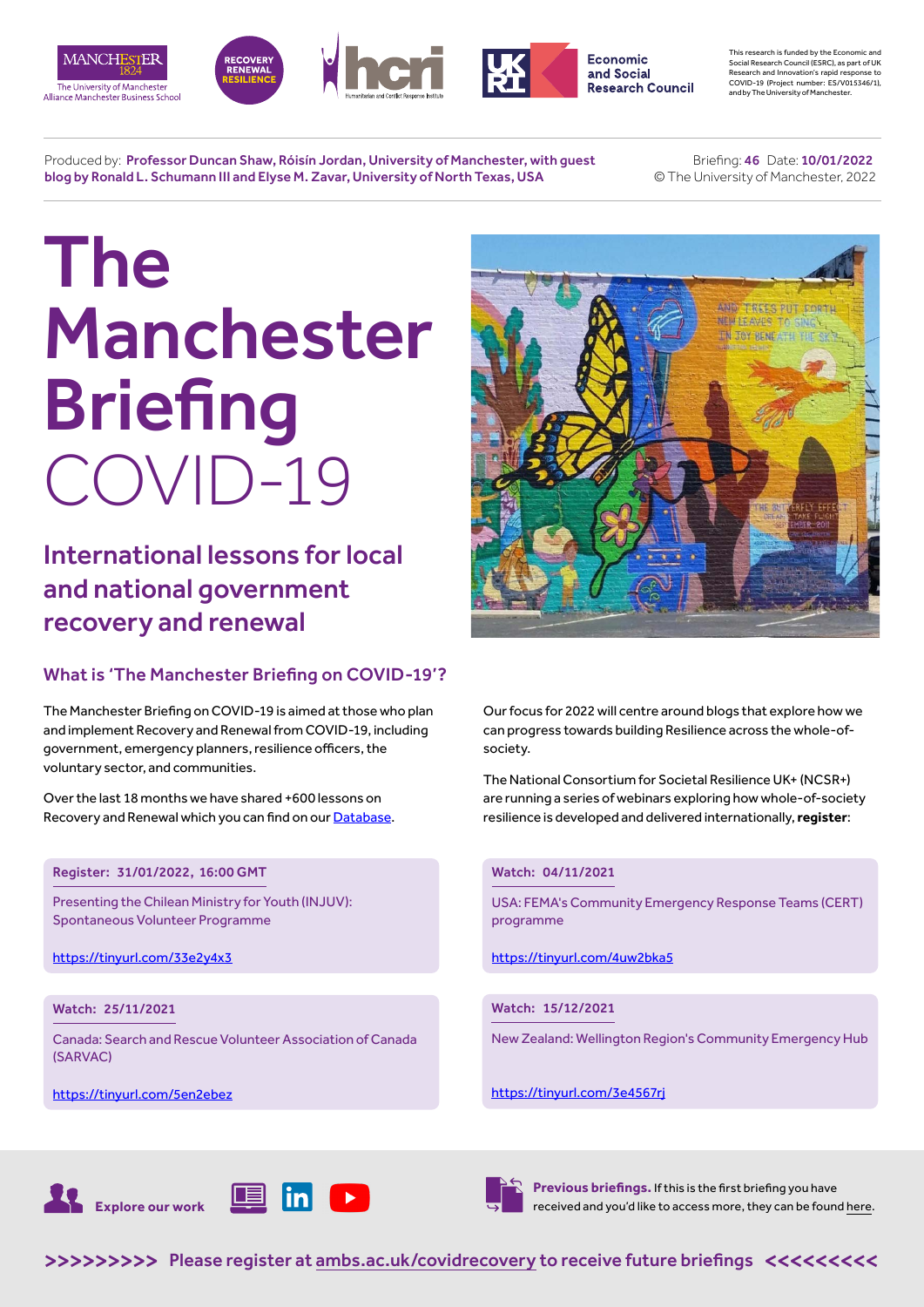







This research is funded by the Economic and Social Research Council (ESRC), as part of UK Research and Innovation's rapid response to COVID-19 (Project number: ES/V015346/1), and by The University of Manchester.

Produced by: Professor Duncan Shaw, Róisín Jordan, University of Manchester, with guest blog by Ronald L. Schumann III and Elyse M. Zavar, University of North Texas, USA

 Briefing: 46 Date: 10/01/2022 © The University of Manchester, 2022

# The Manchester **Briefing** COVID-19

International lessons for local and national government recovery and renewal

# What is 'The Manchester Briefing on COVID-19'?

The Manchester Briefing on COVID-19 is aimed at those who plan and implement Recovery and Renewal from COVID-19, including government, emergency planners, resilience officers, the voluntary sector, and communities.

Over the last 18 months we have shared +600 lessons on Recovery and Renewal which you can find on our [Database](https://recoverydatabase.manchester.ac.uk/lessons/).

#### Register: 31/01/2022, 16:00 GMT

Presenting the Chilean Ministry for Youth (INJUV): Spontaneous Volunteer Programme

<https://tinyurl.com/33e2y4x3>

#### Watch: 25/11/2021

Canada: Search and Rescue Volunteer Association of Canada (SARVAC)

<https://tinyurl.com/5en2ebez>



Our focus for 2022 will centre around blogs that explore how we can progress towards building Resilience across the whole-ofsociety.

The National Consortium for Societal Resilience UK+ (NCSR+) are running a series of webinars exploring how whole-of-society resilience is developed and delivered internationally, **register**:

#### Watch: 04/11/2021

USA: FEMA's Community Emergency Response Teams (CERT) programme

https://tinyurl.com/4uw2bka5

#### Watch: 15/12/2021

New Zealand: Wellington Region's Community Emergency Hub

<https://tinyurl.com/3e4567rj>





**Previous briefings.** If this is the first briefing you have received and you'd like to access more, they can be found [here](https://www.alliancembs.manchester.ac.uk/research/recovery-renewal-resilience-from-covid-19/briefings/).

>>>>>>>>> [Please register at ambs.ac.uk/covidrecovery to receive future briefings](https://www.alliancembs.manchester.ac.uk/research/recovery-renewal-resilience-from-covid-19/) <<<<<<<<<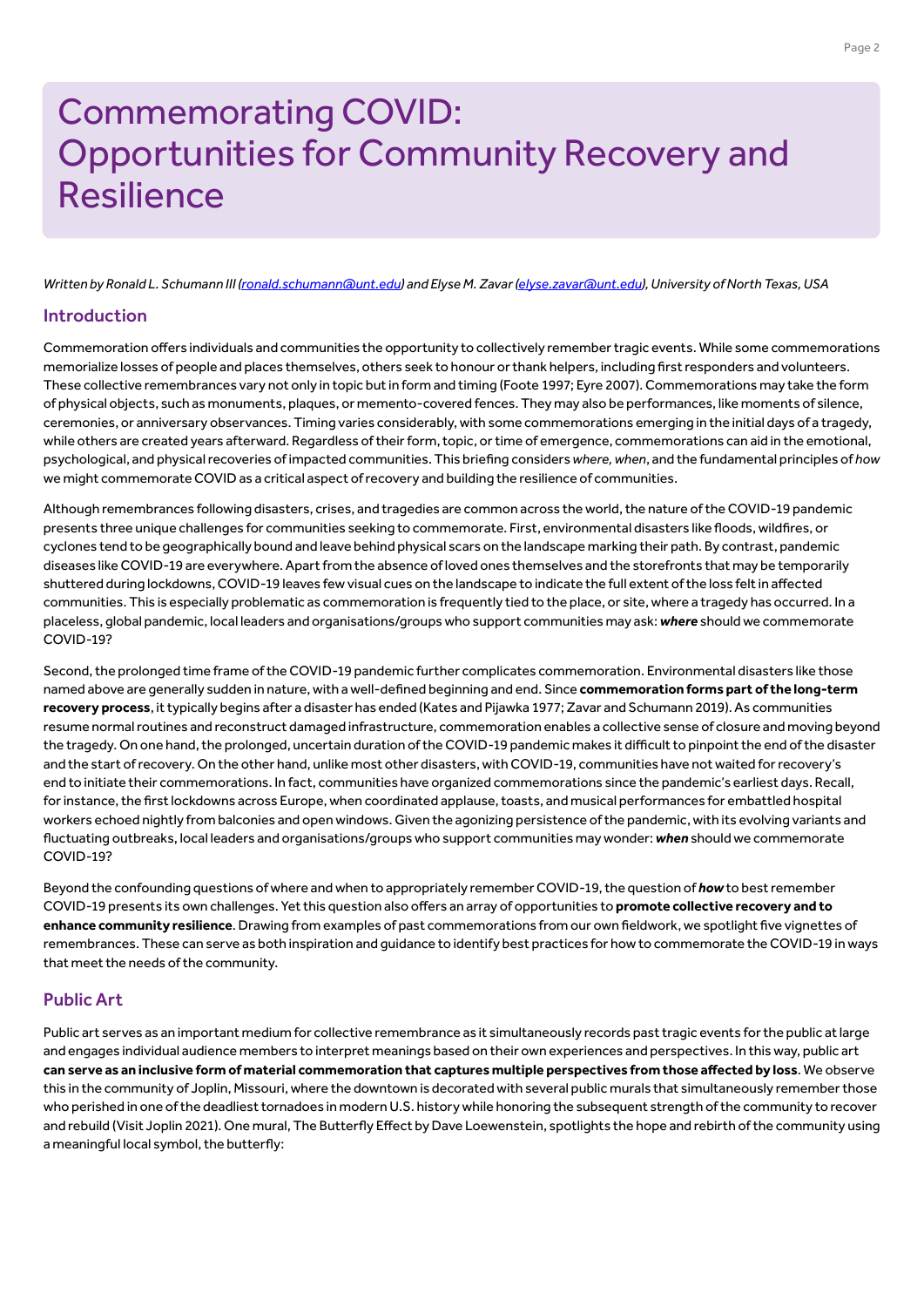# Commemorating COVID: Opportunities for Community Recovery and **Resilience**

*Written by Ronald L. Schumann III ([ronald.schumann@unt.edu](mailto:ronald.schumann%40unt.edu?subject=)) and Elyse M. Zavar [\(elyse.zavar@unt.edu\)](mailto:elyse.zavar%40unt.edu?subject=), University of North Texas, USA*

#### Introduction

Commemoration offers individuals and communities the opportunity to collectively remember tragic events. While some commemorations memorialize losses of people and places themselves, others seek to honour or thank helpers, including first responders and volunteers. These collective remembrances vary not only in topic but in form and timing (Foote 1997; Eyre 2007). Commemorations may take the form of physical objects, such as monuments, plaques, or memento-covered fences. They may also be performances, like moments of silence, ceremonies, or anniversary observances. Timing varies considerably, with some commemorations emerging in the initial days of a tragedy, while others are created years afterward. Regardless of their form, topic, or time of emergence, commemorations can aid in the emotional, psychological, and physical recoveries of impacted communities. This briefing considers *where, when*, and the fundamental principles of *how* we might commemorate COVID as a critical aspect of recovery and building the resilience of communities.

Although remembrances following disasters, crises, and tragedies are common across the world, the nature of the COVID-19 pandemic presents three unique challenges for communities seeking to commemorate. First, environmental disasters like floods, wildfires, or cyclones tend to be geographically bound and leave behind physical scars on the landscape marking their path. By contrast, pandemic diseases like COVID-19 are everywhere. Apart from the absence of loved ones themselves and the storefronts that may be temporarily shuttered during lockdowns, COVID-19 leaves few visual cues on the landscape to indicate the full extent of the loss felt in affected communities. This is especially problematic as commemoration is frequently tied to the place, or site, where a tragedy has occurred. In a placeless, global pandemic, local leaders and organisations/groups who support communities may ask: *where* should we commemorate COVID-19?

Second, the prolonged time frame of the COVID-19 pandemic further complicates commemoration. Environmental disasters like those named above are generally sudden in nature, with a well-defined beginning and end. Since **commemoration forms part of the long-term recovery process**, it typically begins after a disaster has ended (Kates and Pijawka 1977; Zavar and Schumann 2019). As communities resume normal routines and reconstruct damaged infrastructure, commemoration enables a collective sense of closure and moving beyond the tragedy. On one hand, the prolonged, uncertain duration of the COVID-19 pandemic makes it difficult to pinpoint the end of the disaster and the start of recovery. On the other hand, unlike most other disasters, with COVID-19, communities have not waited for recovery's end to initiate their commemorations. In fact, communities have organized commemorations since the pandemic's earliest days. Recall, for instance, the first lockdowns across Europe, when coordinated applause, toasts, and musical performances for embattled hospital workers echoed nightly from balconies and open windows. Given the agonizing persistence of the pandemic, with its evolving variants and fluctuating outbreaks, local leaders and organisations/groups who support communities may wonder: *when* should we commemorate COVID-19?

Beyond the confounding questions of where and when to appropriately remember COVID-19, the question of *how* to best remember COVID-19 presents its own challenges. Yet this question also offers an array of opportunities to **promote collective recovery and to enhance community resilience**. Drawing from examples of past commemorations from our own fieldwork, we spotlight five vignettes of remembrances. These can serve as both inspiration and guidance to identify best practices for how to commemorate the COVID-19 in ways that meet the needs of the community.

#### Public Art

Public art serves as an important medium for collective remembrance as it simultaneously records past tragic events for the public at large and engages individual audience members to interpret meanings based on their own experiences and perspectives. In this way, public art **can serve as an inclusive form of material commemoration that captures multiple perspectives from those affected by loss**. We observe this in the community of Joplin, Missouri, where the downtown is decorated with several public murals that simultaneously remember those who perished in one of the deadliest tornadoes in modern U.S. history while honoring the subsequent strength of the community to recover and rebuild (Visit Joplin 2021). One mural, The Butterfly Effect by Dave Loewenstein, spotlights the hope and rebirth of the community using a meaningful local symbol, the butterfly: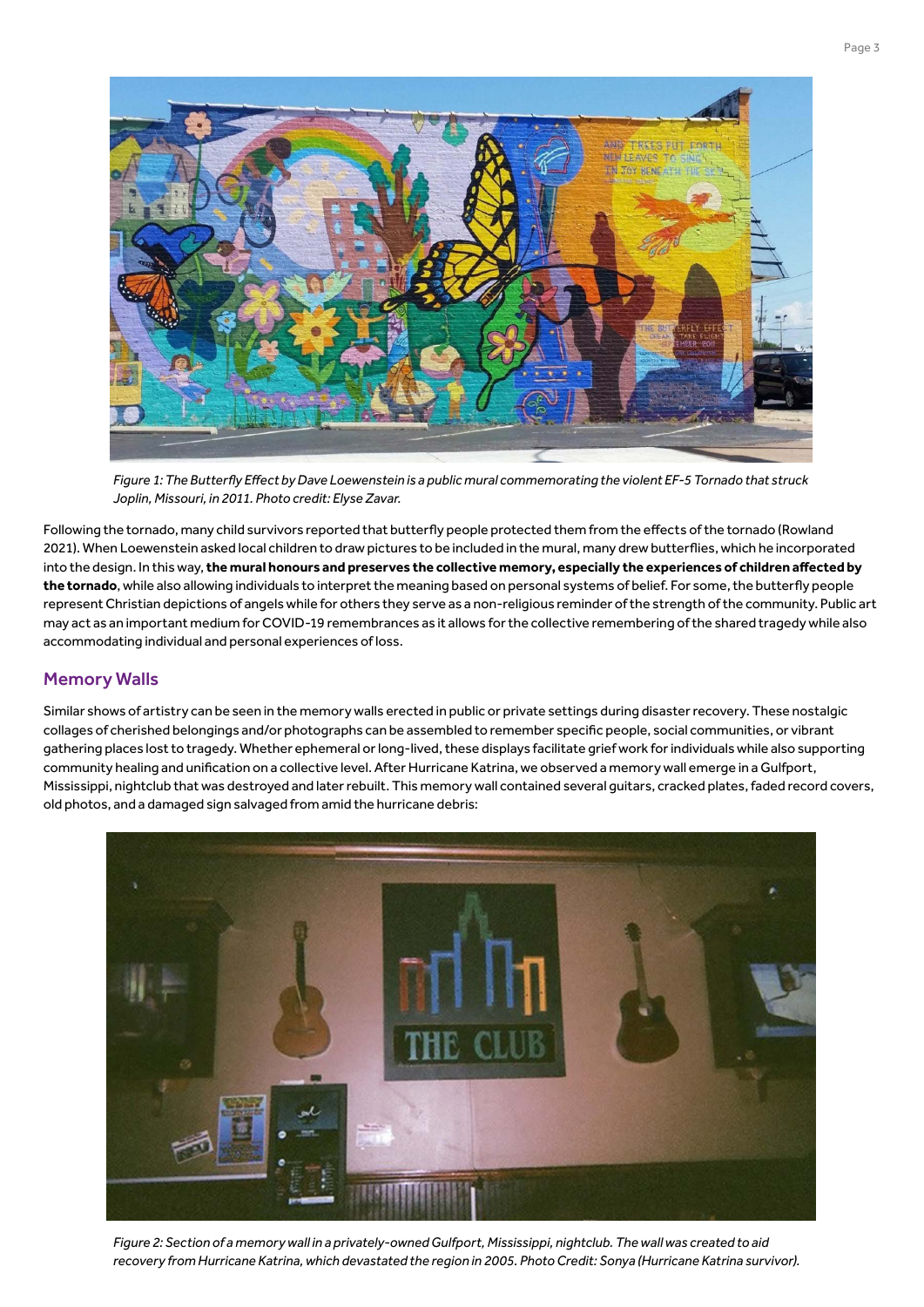

*Figure 1: The Butterfly Effect by Dave Loewenstein is a public mural commemorating the violent EF-5 Tornado that struck Joplin, Missouri, in 2011. Photo credit: Elyse Zavar.*

Following the tornado, many child survivors reported that butterfly people protected them from the effects of the tornado (Rowland 2021). When Loewenstein asked local children to draw pictures to be included in the mural, many drew butterflies, which he incorporated into the design. In this way, **the mural honours and preserves the collective memory, especially the experiences of children affected by the tornado**, while also allowing individuals to interpret the meaning based on personal systems of belief. For some, the butterfly people represent Christian depictions of angels while for others they serve as a non-religious reminder of the strength of the community. Public art may act as an important medium for COVID-19 remembrances as it allows for the collective remembering of the shared tragedy while also accommodating individual and personal experiences of loss.

# Memory Walls

Similar shows of artistry can be seen in the memory walls erected in public or private settings during disaster recovery. These nostalgic collages of cherished belongings and/or photographs can be assembled to remember specific people, social communities, or vibrant gathering places lost to tragedy. Whether ephemeral or long-lived, these displays facilitate grief work for individuals while also supporting community healing and unification on a collective level. After Hurricane Katrina, we observed a memory wall emerge in a Gulfport, Mississippi, nightclub that was destroyed and later rebuilt. This memory wall contained several guitars, cracked plates, faded record covers, old photos, and a damaged sign salvaged from amid the hurricane debris:



*Figure 2: Section of a memory wall in a privately-owned Gulfport, Mississippi, nightclub. The wall was created to aid recovery from Hurricane Katrina, which devastated the region in 2005. Photo Credit: Sonya (Hurricane Katrina survivor).*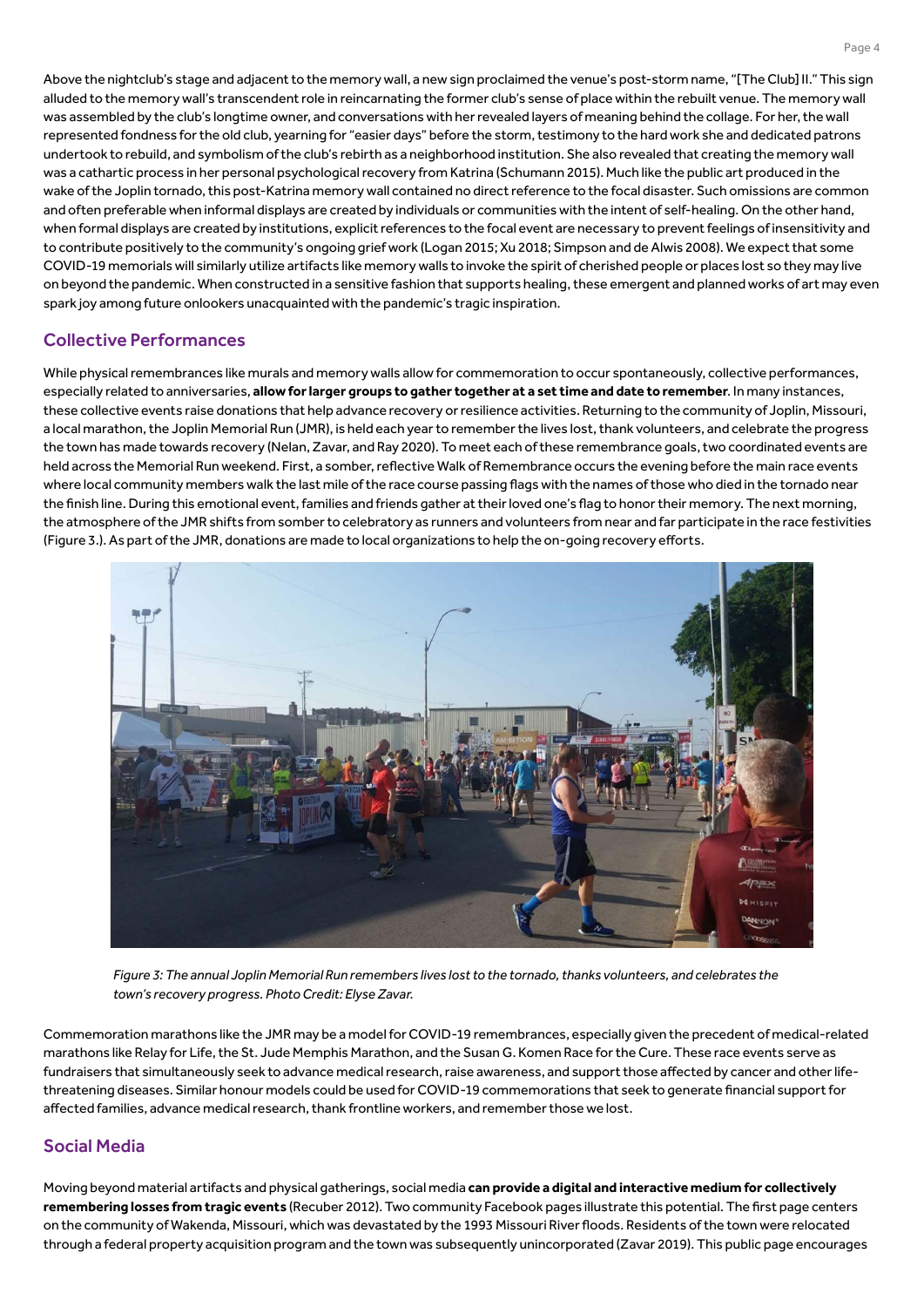Above the nightclub's stage and adjacent to the memory wall, a new sign proclaimed the venue's post-storm name, "[The Club] II." This sign alluded to the memory wall's transcendent role in reincarnating the former club's sense of place within the rebuilt venue. The memory wall was assembled by the club's longtime owner, and conversations with her revealed layers of meaning behind the collage. For her, the wall represented fondness for the old club, yearning for "easier days" before the storm, testimony to the hard work she and dedicated patrons undertook to rebuild, and symbolism of the club's rebirth as a neighborhood institution. She also revealed that creating the memory wall was a cathartic process in her personal psychological recovery from Katrina (Schumann 2015). Much like the public art produced in the wake of the Joplin tornado, this post-Katrina memory wall contained no direct reference to the focal disaster. Such omissions are common and often preferable when informal displays are created by individuals or communities with the intent of self-healing. On the other hand, when formal displays are created by institutions, explicit references to the focal event are necessary to prevent feelings of insensitivity and to contribute positively to the community's ongoing grief work (Logan 2015; Xu 2018; Simpson and de Alwis 2008). We expect that some COVID-19 memorials will similarly utilize artifacts like memory walls to invoke the spirit of cherished people or places lost so they may live on beyond the pandemic. When constructed in a sensitive fashion that supports healing, these emergent and planned works of art may even spark joy among future onlookers unacquainted with the pandemic's tragic inspiration.

# Collective Performances

While physical remembrances like murals and memory walls allow for commemoration to occur spontaneously, collective performances, especially related to anniversaries, **allow for larger groups to gather together at a set time and date to remember**. In many instances, these collective events raise donations that help advance recovery or resilience activities. Returning to the community of Joplin, Missouri, a local marathon, the Joplin Memorial Run (JMR), is held each year to remember the lives lost, thank volunteers, and celebrate the progress the town has made towards recovery (Nelan, Zavar, and Ray 2020). To meet each of these remembrance goals, two coordinated events are held across the Memorial Run weekend. First, a somber, reflective Walk of Remembrance occurs the evening before the main race events where local community members walk the last mile of the race course passing flags with the names of those who died in the tornado near the finish line. During this emotional event, families and friends gather at their loved one's flag to honor their memory. The next morning, the atmosphere of the JMR shifts from somber to celebratory as runners and volunteers from near and far participate in the race festivities (Figure 3.). As part of the JMR, donations are made to local organizations to help the on-going recovery efforts.



*Figure 3: The annual Joplin Memorial Run remembers lives lost to the tornado, thanks volunteers, and celebrates the town's recovery progress. Photo Credit: Elyse Zavar.*

Commemoration marathons like the JMR may be a model for COVID-19 remembrances, especially given the precedent of medical-related marathons like Relay for Life, the St. Jude Memphis Marathon, and the Susan G. Komen Race for the Cure. These race events serve as fundraisers that simultaneously seek to advance medical research, raise awareness, and support those affected by cancer and other lifethreatening diseases. Similar honour models could be used for COVID-19 commemorations that seek to generate financial support for affected families, advance medical research, thank frontline workers, and remember those we lost.

### Social Media

Moving beyond material artifacts and physical gatherings, social media **can provide a digital and interactive medium for collectively remembering losses from tragic events** (Recuber 2012). Two community Facebook pages illustrate this potential. The first page centers on the community of Wakenda, Missouri, which was devastated by the 1993 Missouri River floods. Residents of the town were relocated through a federal property acquisition program and the town was subsequently unincorporated (Zavar 2019). This public page encourages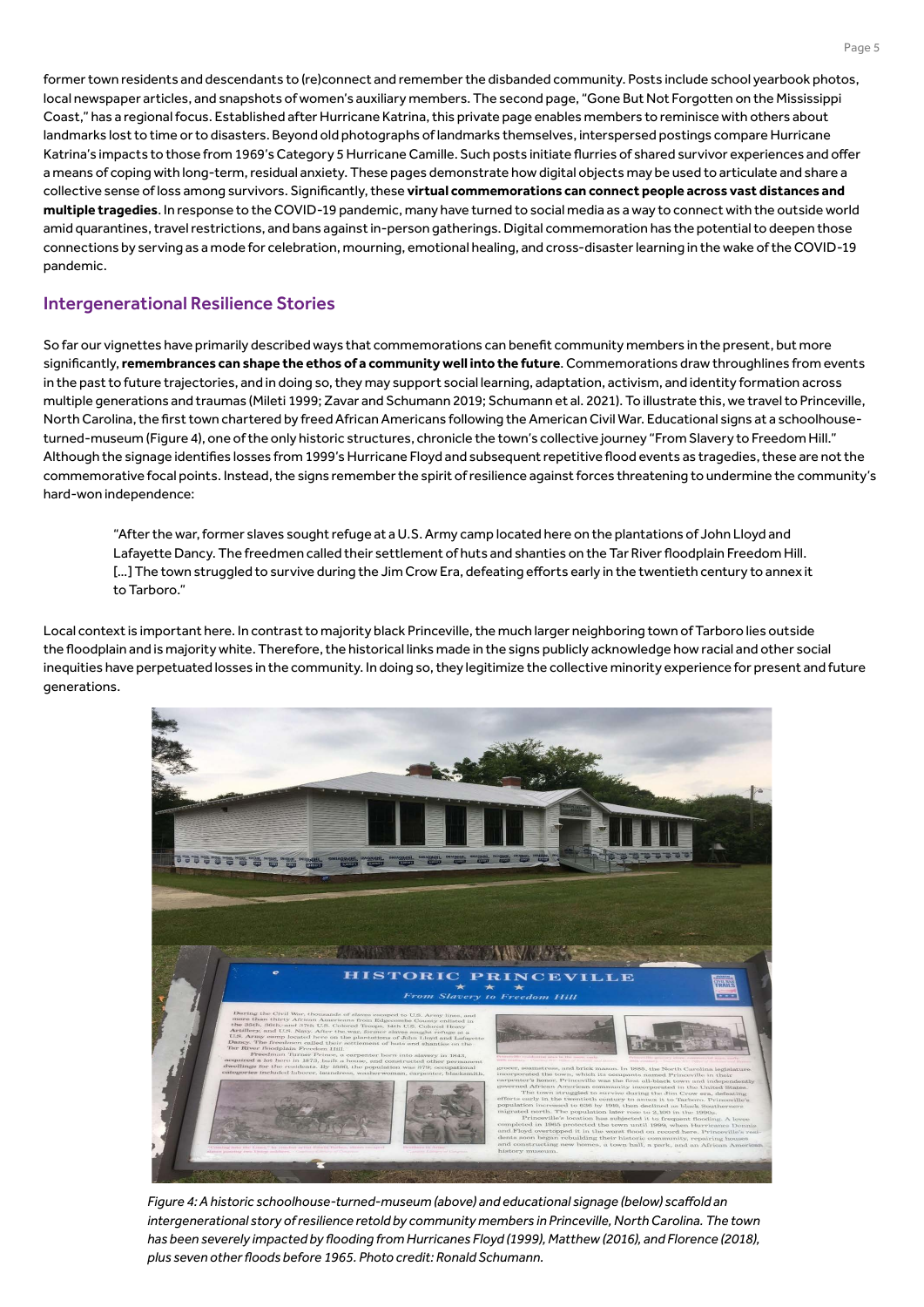former town residents and descendants to (re)connect and remember the disbanded community. Posts include school yearbook photos, local newspaper articles, and snapshots of women's auxiliary members. The second page, "Gone But Not Forgotten on the Mississippi Coast," has a regional focus. Established after Hurricane Katrina, this private page enables members to reminisce with others about landmarks lost to time or to disasters. Beyond old photographs of landmarks themselves, interspersed postings compare Hurricane Katrina's impacts to those from 1969's Category 5 Hurricane Camille. Such posts initiate flurries of shared survivor experiences and offer a means of coping with long-term, residual anxiety. These pages demonstrate how digital objects may be used to articulate and share a collective sense of loss among survivors. Significantly, these **virtual commemorations can connect people across vast distances and multiple tragedies**. In response to the COVID-19 pandemic, many have turned to social media as a way to connect with the outside world amid quarantines, travel restrictions, and bans against in-person gatherings. Digital commemoration has the potential to deepen those connections by serving as a mode for celebration, mourning, emotional healing, and cross-disaster learning in the wake of the COVID-19 pandemic.

#### Intergenerational Resilience Stories

So far our vignettes have primarily described ways that commemorations can benefit community members in the present, but more significantly, **remembrances can shape the ethos of a community well into the future**. Commemorations draw throughlines from events in the past to future trajectories, and in doing so, they may support social learning, adaptation, activism, and identity formation across multiple generations and traumas (Mileti 1999; Zavar and Schumann 2019; Schumann et al. 2021). To illustrate this, we travel to Princeville, North Carolina, the first town chartered by freed African Americans following the American Civil War. Educational signs at a schoolhouseturned-museum (Figure 4), one of the only historic structures, chronicle the town's collective journey "From Slavery to Freedom Hill." Although the signage identifies losses from 1999's Hurricane Floyd and subsequent repetitive flood events as tragedies, these are not the commemorative focal points. Instead, the signs remember the spirit of resilience against forces threatening to undermine the community's hard-won independence:

"After the war, former slaves sought refuge at a U.S. Army camp located here on the plantations of John Lloyd and Lafayette Dancy. The freedmen called their settlement of huts and shanties on the Tar River floodplain Freedom Hill. [...] The town struggled to survive during the Jim Crow Era, defeating efforts early in the twentieth century to annex it to Tarboro."

Local context is important here. In contrast to majority black Princeville, the much larger neighboring town of Tarboro lies outside the floodplain and is majority white. Therefore, the historical links made in the signs publicly acknowledge how racial and other social inequities have perpetuated losses in the community. In doing so, they legitimize the collective minority experience for present and future generations.



*Figure 4: A historic schoolhouse-turned-museum (above) and educational signage (below) scaffold an intergenerational story of resilience retold by community members in Princeville, North Carolina. The town has been severely impacted by flooding from Hurricanes Floyd (1999), Matthew (2016), and Florence (2018), plus seven other floods before 1965. Photo credit: Ronald Schumann.*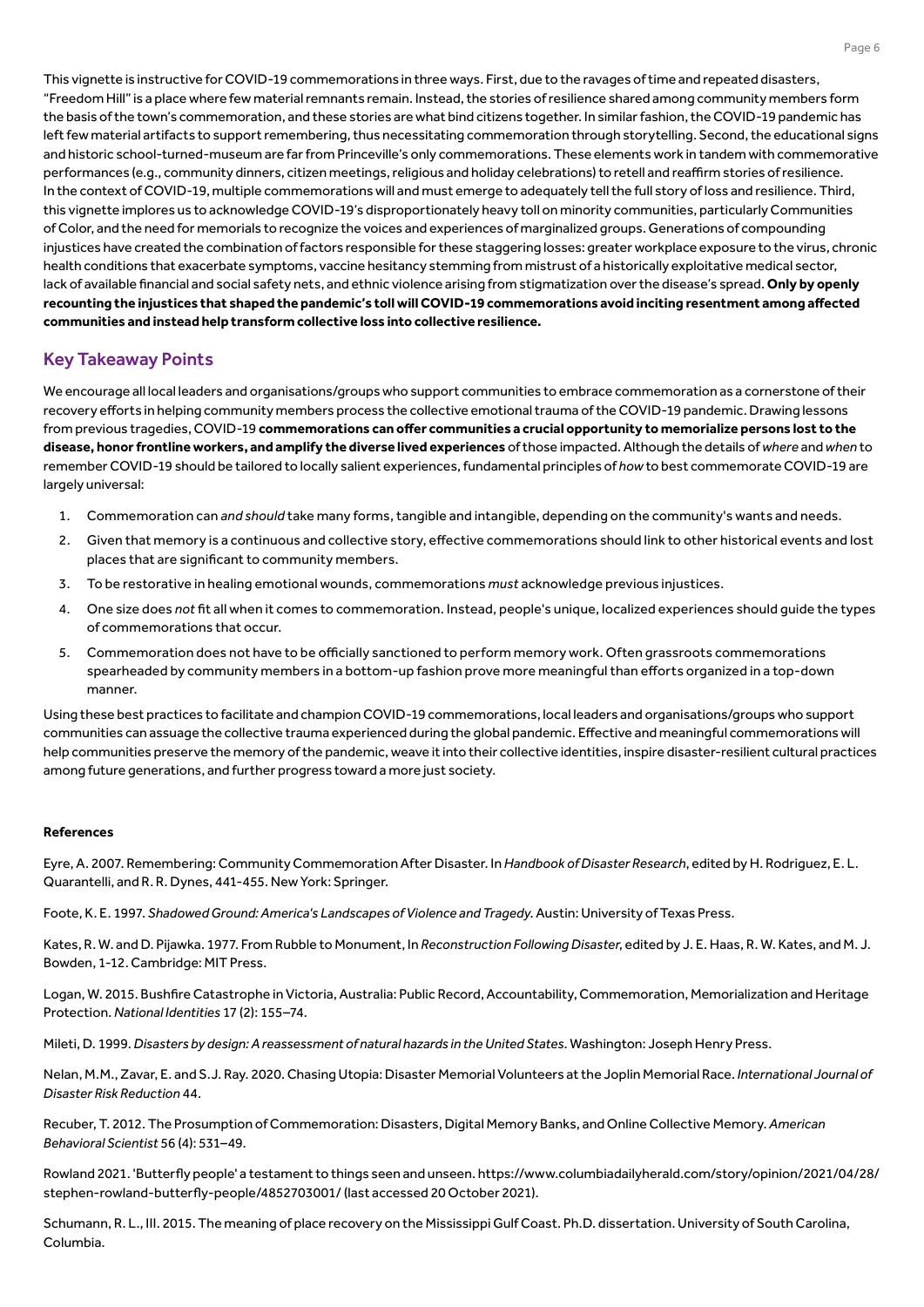This vignette is instructive for COVID-19 commemorations in three ways. First, due to the ravages of time and repeated disasters, "Freedom Hill" is a place where few material remnants remain. Instead, the stories of resilience shared among community members form the basis of the town's commemoration, and these stories are what bind citizens together. In similar fashion, the COVID-19 pandemic has left few material artifacts to support remembering, thus necessitating commemoration through storytelling. Second, the educational signs and historic school-turned-museum are far from Princeville's only commemorations. These elements work in tandem with commemorative performances (e.g., community dinners, citizen meetings, religious and holiday celebrations) to retell and reaffirm stories of resilience. In the context of COVID-19, multiple commemorations will and must emerge to adequately tell the full story of loss and resilience. Third, this vignette implores us to acknowledge COVID-19's disproportionately heavy toll on minority communities, particularly Communities of Color, and the need for memorials to recognize the voices and experiences of marginalized groups. Generations of compounding injustices have created the combination of factors responsible for these staggering losses: greater workplace exposure to the virus, chronic health conditions that exacerbate symptoms, vaccine hesitancy stemming from mistrust of a historically exploitative medical sector, lack of available financial and social safety nets, and ethnic violence arising from stigmatization over the disease's spread. **Only by openly recounting the injustices that shaped the pandemic's toll will COVID-19 commemorations avoid inciting resentment among affected communities and instead help transform collective loss into collective resilience.**

# Key Takeaway Points

We encourage all local leaders and organisations/groups who support communities to embrace commemoration as a cornerstone of their recovery efforts in helping community members process the collective emotional trauma of the COVID-19 pandemic. Drawing lessons from previous tragedies, COVID-19 **commemorations can offer communities a crucial opportunity to memorialize persons lost to the disease, honor frontline workers, and amplify the diverse lived experiences** of those impacted. Although the details of *where* and *when* to remember COVID-19 should be tailored to locally salient experiences, fundamental principles of *how* to best commemorate COVID-19 are largely universal:

- 1. Commemoration can *and should* take many forms, tangible and intangible, depending on the community's wants and needs.
- 2. Given that memory is a continuous and collective story, effective commemorations should link to other historical events and lost places that are significant to community members.
- 3. To be restorative in healing emotional wounds, commemorations *must* acknowledge previous injustices.
- 4. One size does *not* fit all when it comes to commemoration. Instead, people's unique, localized experiences should guide the types of commemorations that occur.
- 5. Commemoration does not have to be officially sanctioned to perform memory work. Often grassroots commemorations spearheaded by community members in a bottom-up fashion prove more meaningful than efforts organized in a top-down manner.

Using these best practices to facilitate and champion COVID-19 commemorations, local leaders and organisations/groups who support communities can assuage the collective trauma experienced during the global pandemic. Effective and meaningful commemorations will help communities preserve the memory of the pandemic, weave it into their collective identities, inspire disaster-resilient cultural practices among future generations, and further progress toward a more just society.

#### **References**

Eyre, A. 2007. Remembering: Community Commemoration After Disaster. In *Handbook of Disaster Research*, edited by H. Rodriguez, E. L. Quarantelli, and R. R. Dynes, 441-455. New York: Springer.

Foote, K. E. 1997. *Shadowed Ground: America's Landscapes of Violence and Tragedy*. Austin: University of Texas Press.

Kates, R. W. and D. Pijawka. 1977. From Rubble to Monument, In *Reconstruction Following Disaster*, edited by J. E. Haas, R. W. Kates, and M. J. Bowden, 1-12. Cambridge: MIT Press.

Logan, W. 2015. Bushfire Catastrophe in Victoria, Australia: Public Record, Accountability, Commemoration, Memorialization and Heritage Protection. *National Identities* 17 (2): 155–74.

Mileti, D. 1999. *Disasters by design: A reassessment of natural hazards in the United States*. Washington: Joseph Henry Press.

Nelan, M.M., Zavar, E. and S.J. Ray. 2020. Chasing Utopia: Disaster Memorial Volunteers at the Joplin Memorial Race. *International Journal of Disaster Risk Reduction* 44.

Recuber, T. 2012. The Prosumption of Commemoration: Disasters, Digital Memory Banks, and Online Collective Memory. *American Behavioral Scientist* 56 (4): 531–49.

Rowland 2021. 'Butterfly people' a testament to things seen and unseen. https://www.columbiadailyherald.com/story/opinion/2021/04/28/ stephen-rowland-butterfly-people/4852703001/ (last accessed 20 October 2021).

Schumann, R. L., III. 2015. The meaning of place recovery on the Mississippi Gulf Coast. Ph.D. dissertation. University of South Carolina, Columbia.